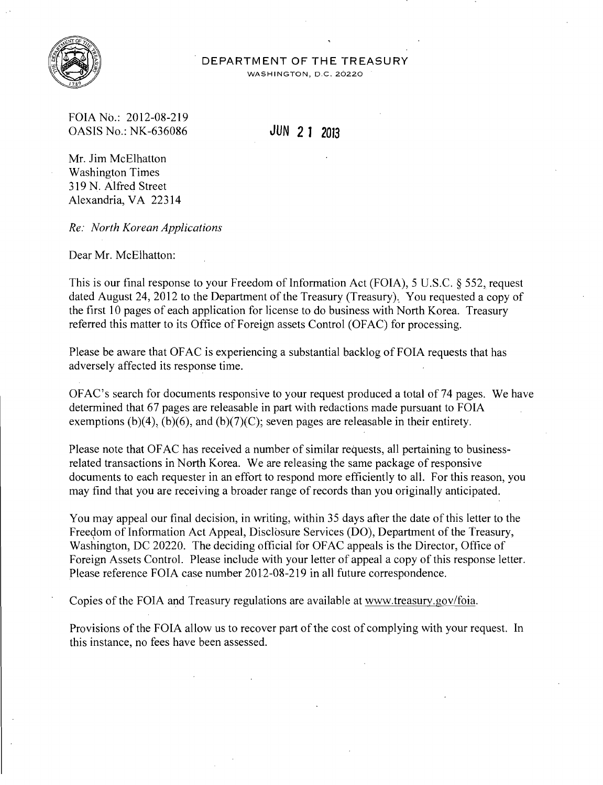

## **DEPARTMENT OF THE TREASURY**

WASHINGTON, D.C. 20220

FOIA No.: 2012-08-219 OASIS No.: NK-636086 **JUN 2 1** *<sup>2013</sup>*

Mr. Jim McElhatton Washington Times 319 N. Alfred Street Alexandria, VA 22314

*Re: North Korean Applications* 

Dear Mr. McElhatton:

This is our final response to your Freedom of Information Act (FOIA), 5 U.S.C. § 552, request dated August 24, 2012 to the Department of the Treasury (Treasury). You requested a copy of the first 10 pages of each application for license to do business with North Korea. Treasury referred this matter to its Office of Foreign assets Control (OFAC) for processing.

Please be aware that OFAC is experiencing a substantial backlog of FOIA requests that has adversely affected its response time.

OFAC's search for documents responsive to your request produced a total of74 pages. We have determined that 67 pages are releasable in part with redactions made pursuant to FOIA exemptions (b)(4), (b)(6), and (b)(7)(C); seven pages are releasable in their entirety.

Please note that OF AC has received a number of similar requests, all pertaining to businessrelated transactions in North Korea. We are releasing the same package of responsive documents to each requester in an effort to respond more efficiently to all. For this reason, you may find that you are receiving a broader range of records than you originally anticipated.

You may appeal our final decision, in writing, within 35 days after the date of this letter to the Freedom of Information Act Appeal, Disclosure Services (DO), Department of the Treasury, Washington, DC 20220. The deciding official for OFAC appeals is the Director, Office of Foreign Assets Control. Please include with your letter of appeal a copy of this response letter. Please reference FOIA case number 2012-08-219 in all future correspondence.

Copies of the FOIA and Treasury regulations are available at www.treasury.gov/foia.

Provisions of the FOIA allow us to recover part of the cost of complying with your request. In this instance, no fees have been assessed.